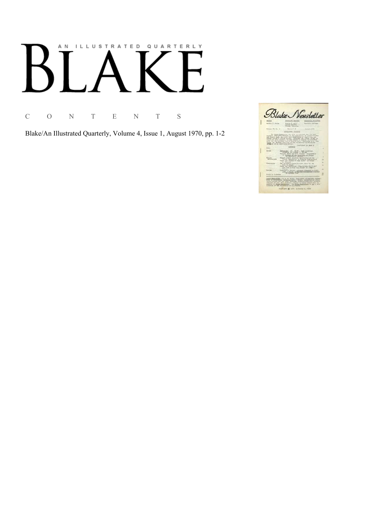# AN ILLUSTRATED QUARTERLY

C O N T E N T S

Blake/An Illustrated Quarterly, Volume 4, Issue 1, August 1970, pp. 1-2

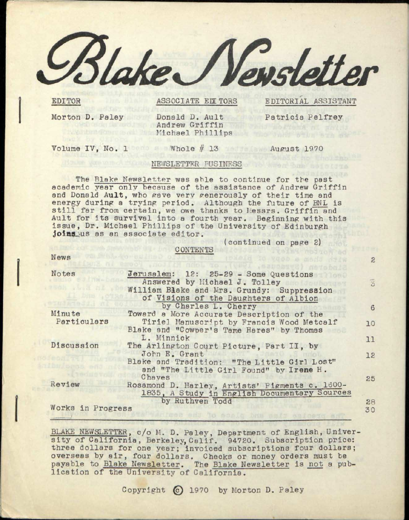*££hkeKJ)/e»sletter* 

EDITOR

ASSOCIATE EDITORS

EDITORIAL ASSISTANT

 $\mathbf{2}$ 

Morton D. Paley Donald D. Ault Patricia Pelfrey Andrew Griffin Michael Phillips

Volume IV, No. 1 Whole  $#$  13 August 1970

# NEWSLETTER BUSINESS

The Blake Newsletter was able to continue for the past academic year only because of the assistance of Andrew Griffin and Donald Ault, who gave very generously of their time and energy during a trying period. Although the future of BNL is still far from certain, we owe thanks to Messrs. Griffin and Ault for its survival into a fourth year. Beginning with this issue, Dr. Michael Phillips of the University of Edinburgh joins us as an associate editor.

CONTENTS

(continued on page 2)

News

| Notes             | Jerusalem: 12: 25-29 - Some Questions          |    |
|-------------------|------------------------------------------------|----|
|                   | Answered by Michael J. Tolley                  | 秀  |
|                   | William Blake and Mrs. Grundy: Suppression     |    |
|                   | of Visions of the Daughters of Albion          |    |
|                   | by Charles L. Cherry                           | 6  |
| Minute            | Toward a More Accurate Description of the      |    |
| Particulars       | Tiriel Manuscript by Francis Wood Metcalf      | 10 |
|                   | Blake and "Cowper's Tame Hares" by Thomas      |    |
|                   | L. Minnick                                     | 11 |
| Discussion        | The Arlington Court Picture, Part II, by       |    |
|                   | John E. Grant                                  | 12 |
|                   | Blake and Tradition: "The Little Girl Lost"    |    |
|                   | and "The Little Girl Found" by Irene H.        |    |
|                   | Chayes                                         | 25 |
| Review            | Rosamond D. Harley, Artists' Pigments c. 1600- |    |
|                   | 1835, A Study in English Documentary Sources   |    |
|                   | by Ruthven Todd                                | 88 |
| Works in Progress |                                                | 30 |

BLAKE NEWSLETTER, c/o M. D. Paley, Department of English, University of California, Berkeley, Calif. 94720. Subscription price: three dollars for one year; invoiced subscriptions four dollars; overseas by air, four dollars. Checks or money orders must be payable to Blake Newsletter. The Blake Newsletter is not a publication of the University of California.

Copyright © 1970 by Morton D. Paley